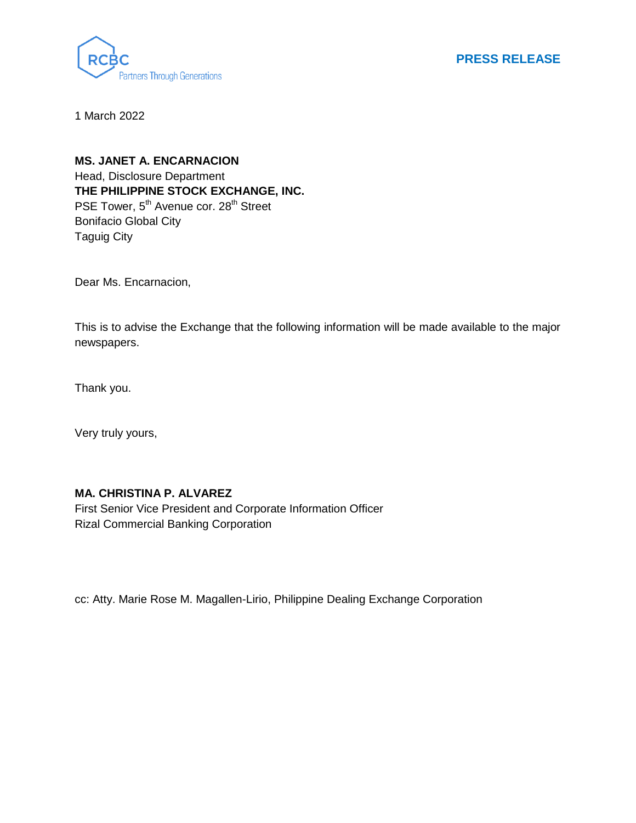

**PRESS RELEASE**

1 March 2022

**MS. JANET A. ENCARNACION** Head, Disclosure Department **THE PHILIPPINE STOCK EXCHANGE, INC.** PSE Tower, 5<sup>th</sup> Avenue cor. 28<sup>th</sup> Street Bonifacio Global City Taguig City

Dear Ms. Encarnacion,

This is to advise the Exchange that the following information will be made available to the major newspapers.

Thank you.

Very truly yours,

## **MA. CHRISTINA P. ALVAREZ**

First Senior Vice President and Corporate Information Officer Rizal Commercial Banking Corporation

cc: Atty. Marie Rose M. Magallen-Lirio, Philippine Dealing Exchange Corporation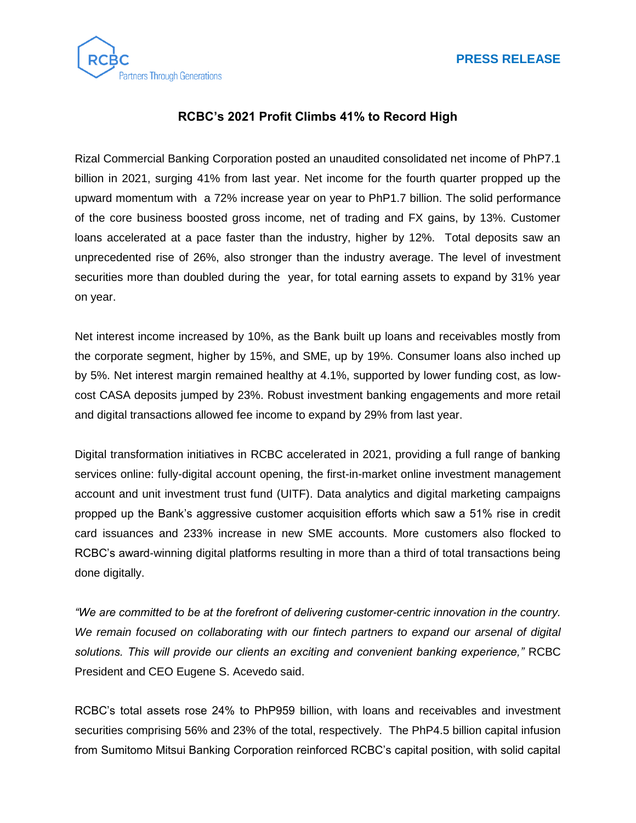



## **RCBC's 2021 Profit Climbs 41% to Record High**

Rizal Commercial Banking Corporation posted an unaudited consolidated net income of PhP7.1 billion in 2021, surging 41% from last year. Net income for the fourth quarter propped up the upward momentum with a 72% increase year on year to PhP1.7 billion. The solid performance of the core business boosted gross income, net of trading and FX gains, by 13%. Customer loans accelerated at a pace faster than the industry, higher by 12%. Total deposits saw an unprecedented rise of 26%, also stronger than the industry average. The level of investment securities more than doubled during the year, for total earning assets to expand by 31% year on year.

Net interest income increased by 10%, as the Bank built up loans and receivables mostly from the corporate segment, higher by 15%, and SME, up by 19%. Consumer loans also inched up by 5%. Net interest margin remained healthy at 4.1%, supported by lower funding cost, as lowcost CASA deposits jumped by 23%. Robust investment banking engagements and more retail and digital transactions allowed fee income to expand by 29% from last year.

Digital transformation initiatives in RCBC accelerated in 2021, providing a full range of banking services online: fully-digital account opening, the first-in-market online investment management account and unit investment trust fund (UITF). Data analytics and digital marketing campaigns propped up the Bank's aggressive customer acquisition efforts which saw a 51% rise in credit card issuances and 233% increase in new SME accounts. More customers also flocked to RCBC's award-winning digital platforms resulting in more than a third of total transactions being done digitally.

*"We are committed to be at the forefront of delivering customer-centric innovation in the country. We remain focused on collaborating with our fintech partners to expand our arsenal of digital solutions. This will provide our clients an exciting and convenient banking experience,"* RCBC President and CEO Eugene S. Acevedo said.

RCBC's total assets rose 24% to PhP959 billion, with loans and receivables and investment securities comprising 56% and 23% of the total, respectively. The PhP4.5 billion capital infusion from Sumitomo Mitsui Banking Corporation reinforced RCBC's capital position, with solid capital